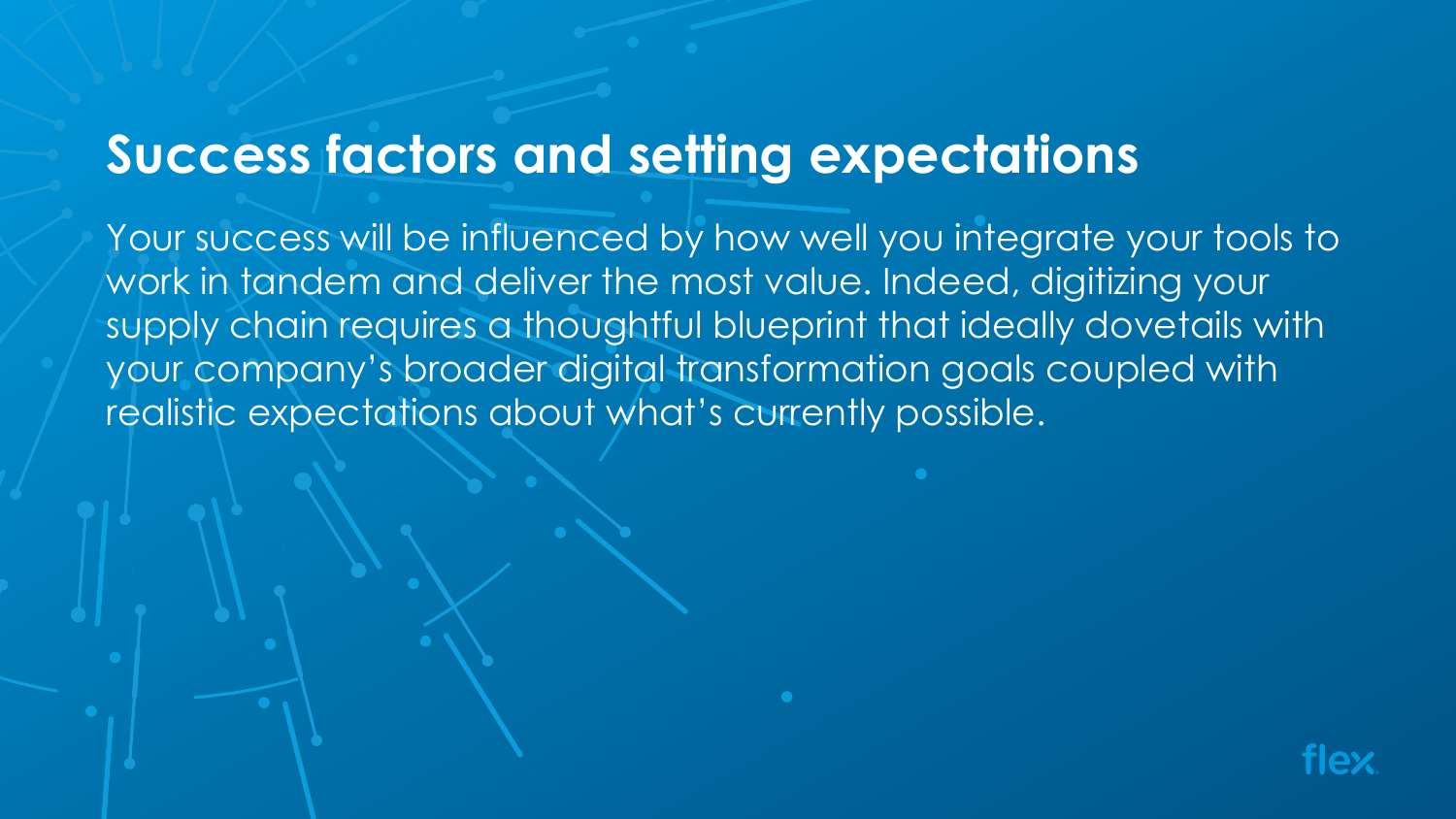Your success will be influenced by how well you integrate your tools to work in tandem and deliver the most value. Indeed, digitizing your supply chain requires a thoughtful blueprint that ideally dovetails with your company's broader digital transformation goals coupled with realistic expectations about what's currently possible.

### **Success factors and setting expectations**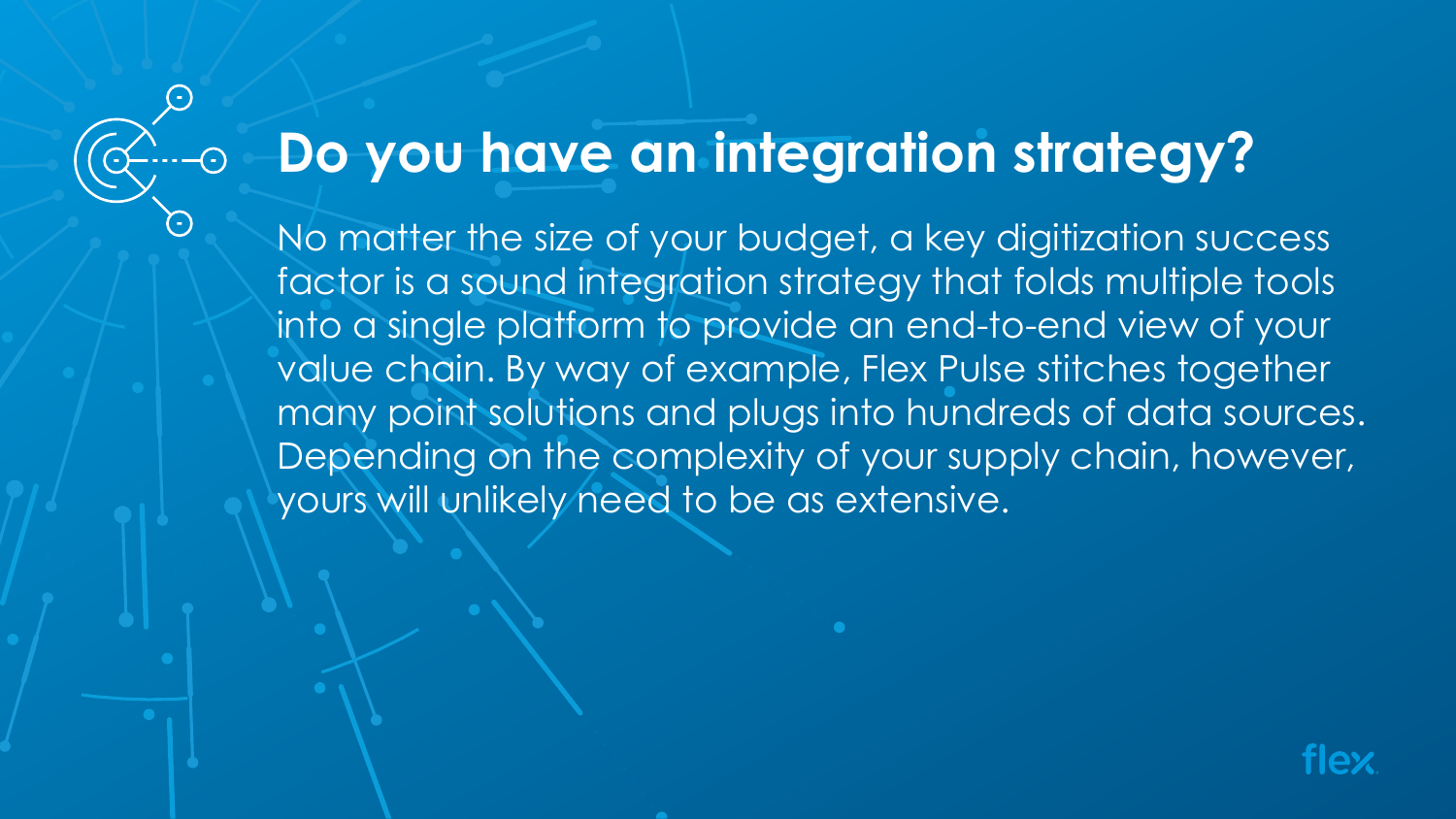No matter the size of your budget, a key digitization success factor is a sound integration strategy that folds multiple tools into a single platform to provide an end-to-end view of your value chain. By way of example, Flex Pulse stitches together many point solutions and plugs into hundreds of data sources. Depending on the complexity of your supply chain, however, yours will unlikely need to be as extensive.



# **Do you have an integration strategy?**

 $\bigodot$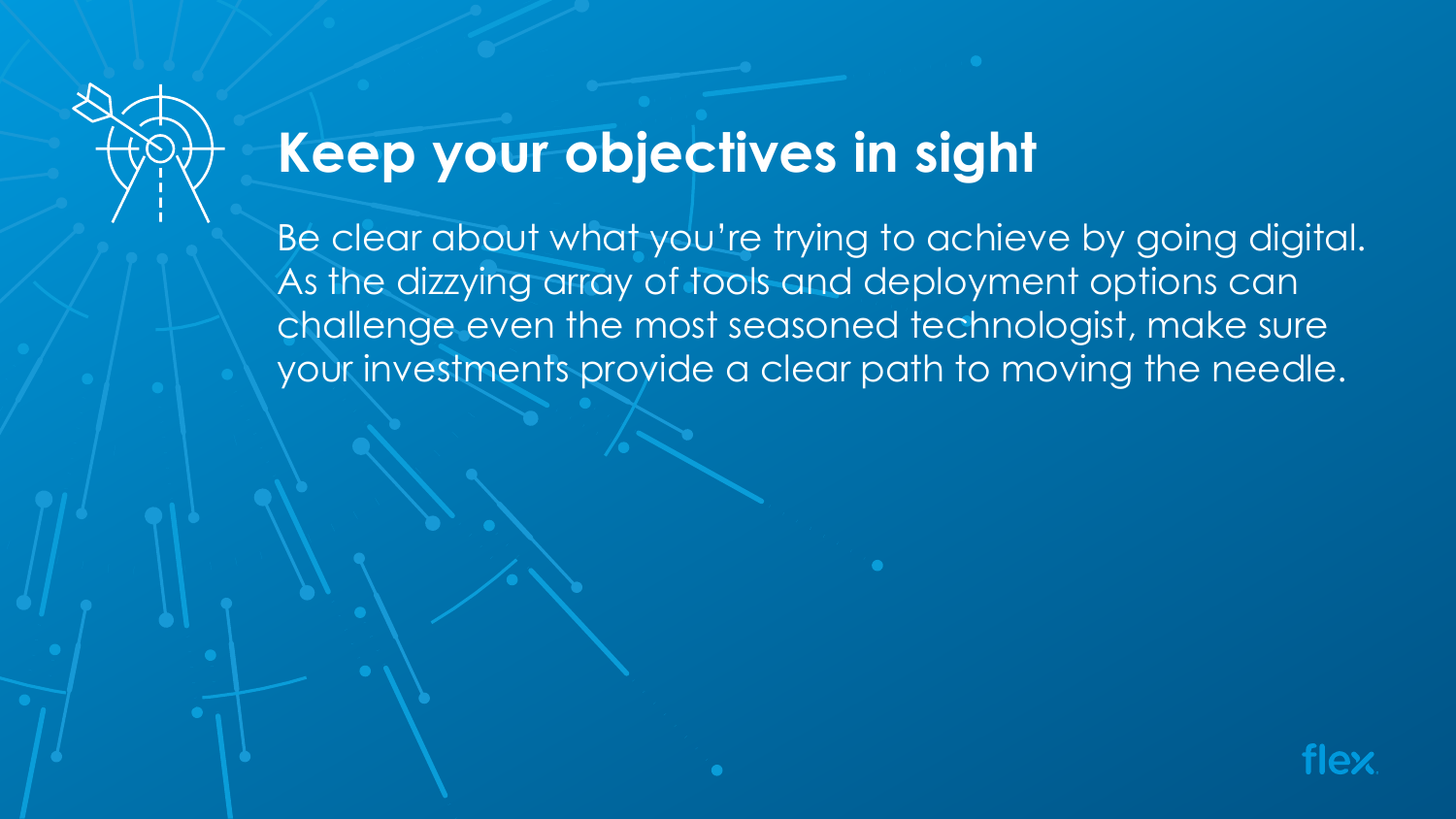Be clear about what you're trying to achieve by going digital. As the dizzying array of tools and deployment options can challenge even the most seasoned technologist, make sure your investments provide a clear path to moving the needle.





# **Keep your objectives in sight**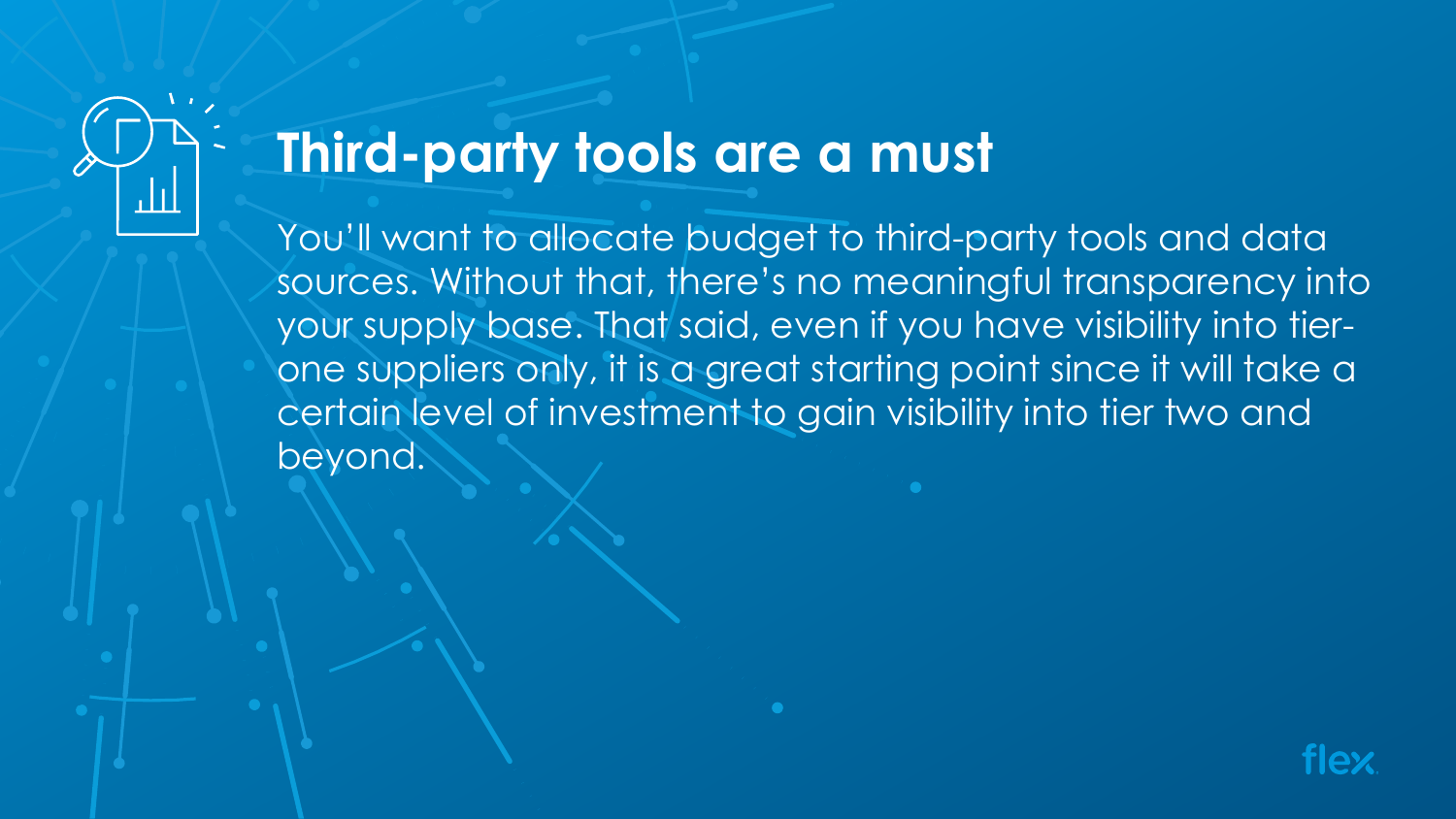You'll want to allocate budget to third-party tools and data sources. Without that, there's no meaningful transparency into your supply base. That said, even if you have visibility into tierone suppliers only, it is a great starting point since it will take a certain level of investment to gain visibility into tier two and beyond.





## **Third-party tools are a must**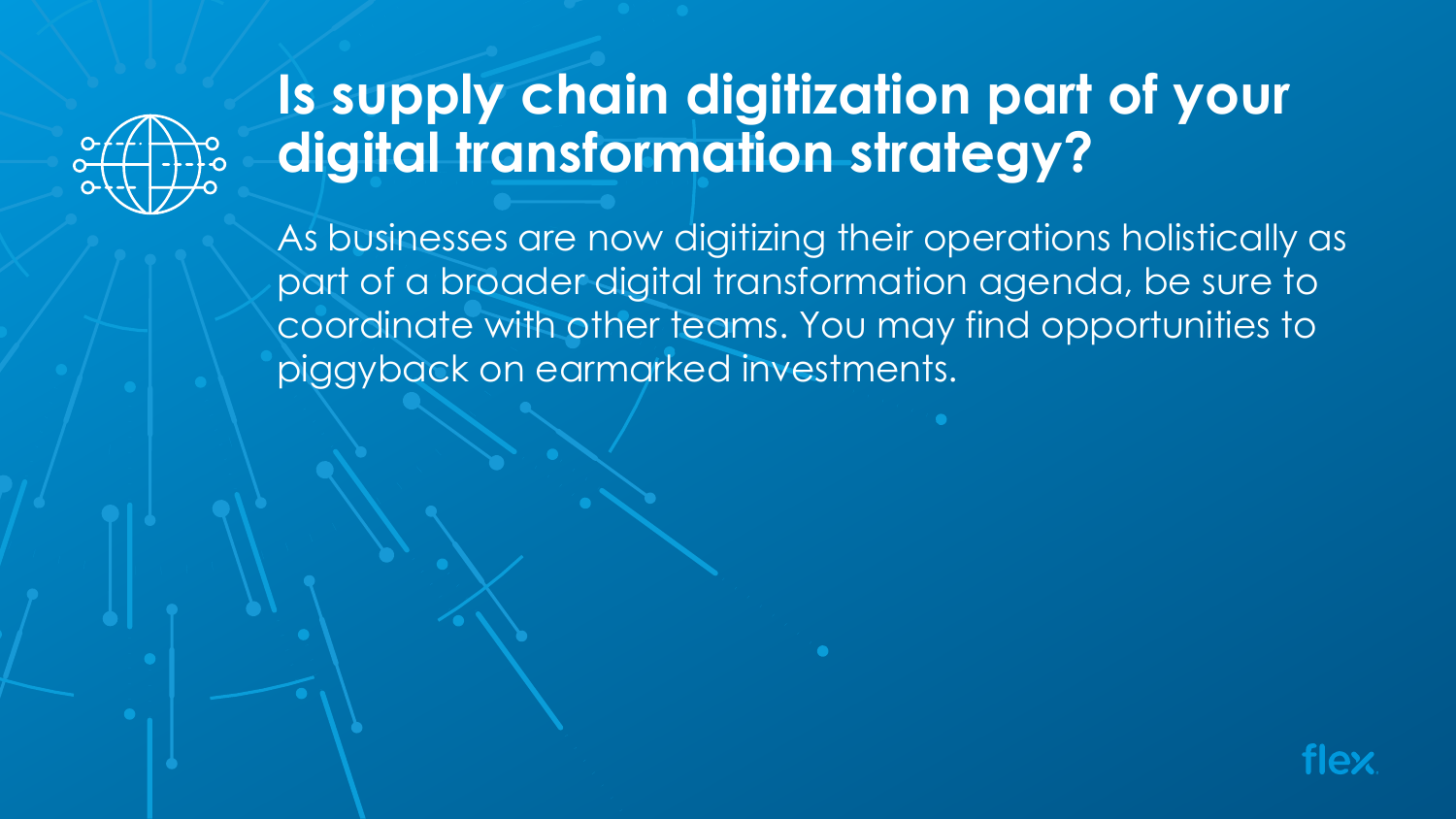As businesses are now digitizing their operations holistically as part of a broader digital transformation agenda, be sure to coordinate with other teams. You may find opportunities to piggyback on earmarked investments.





# **Is supply chain digitization part of your digital transformation strategy?**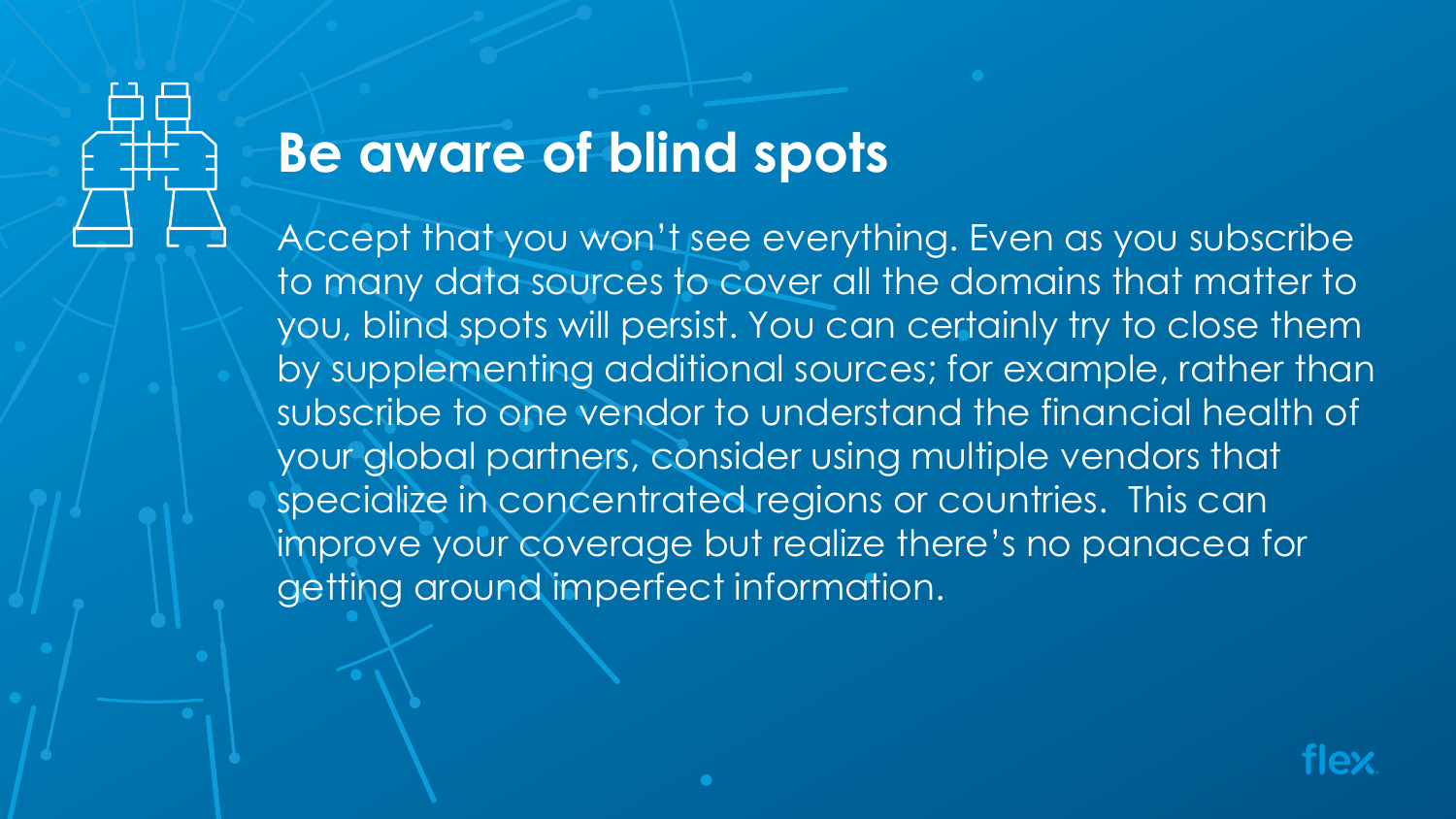Accept that you won't see everything. Even as you subscribe to many data sources to cover all the domains that matter to you, blind spots will persist. You can certainly try to close them by supplementing additional sources; for example, rather than subscribe to one vendor to understand the financial health of your global partners, consider using multiple vendors that specialize in concentrated regions or countries. This can improve your coverage but realize there's no panacea for getting around imperfect information.



## **Be aware of blind spots**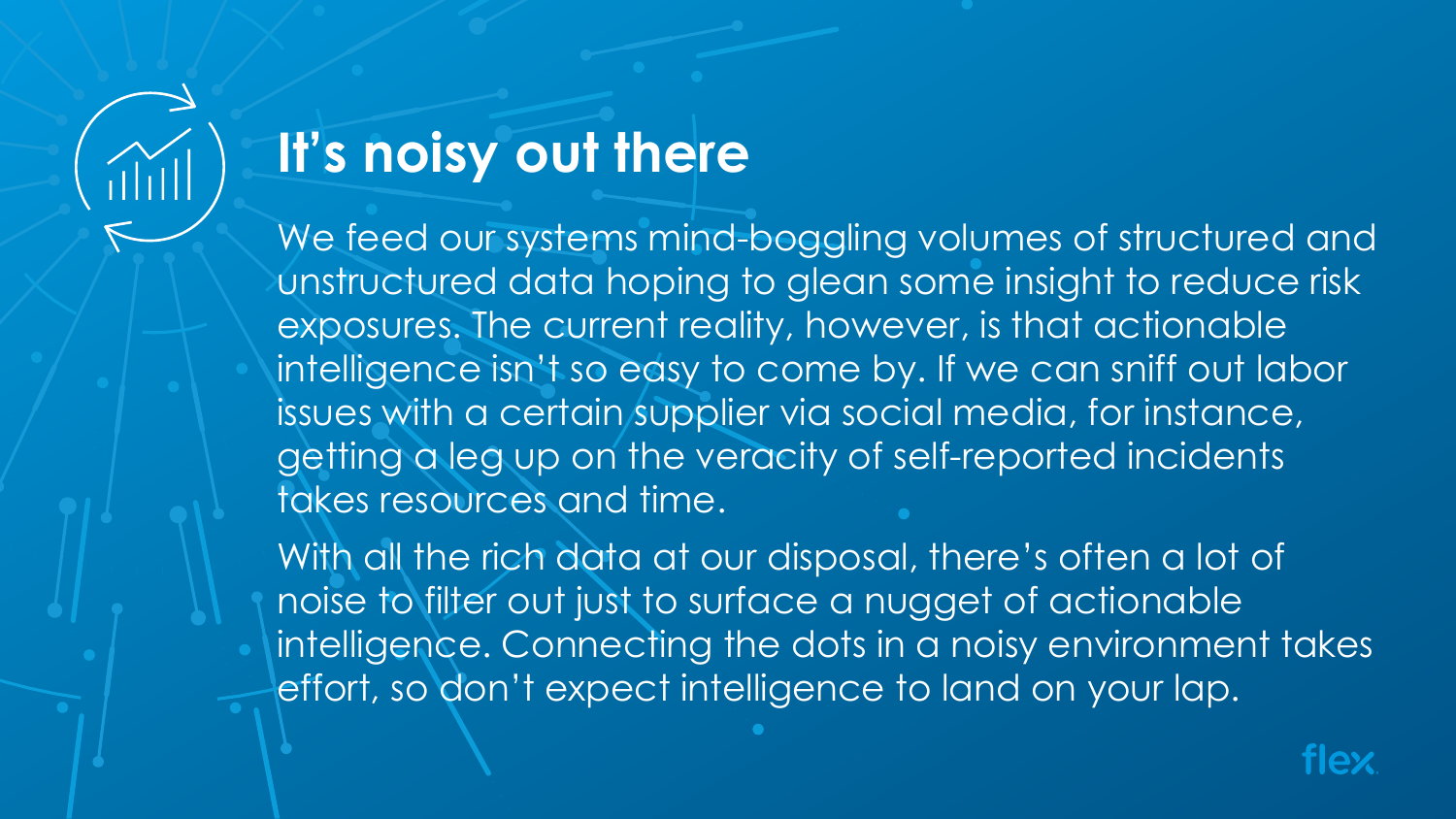We feed our systems mind-boggling volumes of structured and unstructured data hoping to glean some insight to reduce risk exposures. The current reality, however, is that actionable intelligence isn't so easy to come by. If we can sniff out labor issues with a certain supplier via social media, for instance, getting a leg up on the veracity of self-reported incidents takes resources and time.

With all the rich data at our disposal, there's often a lot of noise to filter out just to surface a nugget of actionable intelligence. Connecting the dots in a noisy environment takes effort, so don't expect intelligence to land on your lap.



### **It's noisy out there**